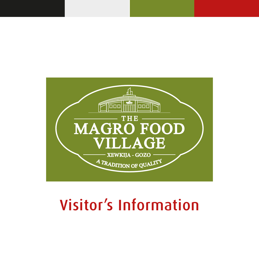

# Visitor's Information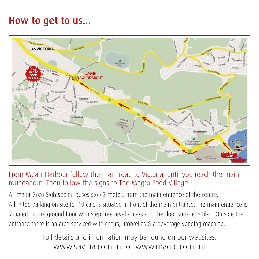## How to get to us...



#### From Mgarr Harbour follow the main road to Victoria, until you reach the main roundabout. Then follow the signs to The Magro Food Village.

All major Gozo Sightseeing buses stop 3 meters from the main entrance of the centre. A limited parking on site for 10 cars is situated in front of the main entrance. The main entrance is situated on the ground floor with step-free level access and the floor surface is tiled. Outside the entrance there is an area serviced with chairs, umbrellas & a beverage vending machine.

> Full details and information may be found on our websites: www.savina.com.mt or www.magro.com.mt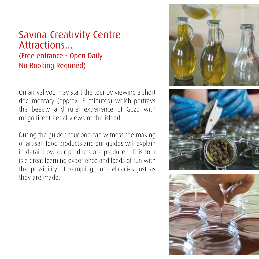#### Savina Creativity Centre Attractions... (Free entrance - Open Daily No Booking Required)

On arrival you may start the tour by viewing a short documentary (approx. 8 minutes) which portrays the beauty and rural experience of Gozo with magnificent aerial views of the island.

During the guided tour one can witness the making of artisan food products and our guides will explain in detail how our products are produced. This tour is a great learning experience and loads of fun with the possibility of sampling our delicacies just as they are made.

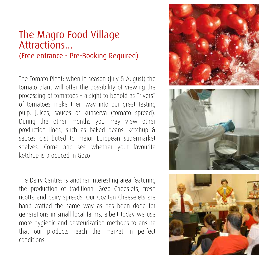## The Magro Food Village Attractions...

#### (Free entrance - Pre-Booking Required)

The Tomato Plant: when in season (July & August) the tomato plant will offer the possibility of viewing the processing of tomatoes – a sight to behold as "rivers" of tomatoes make their way into our great tasting pulp, juices, sauces or kunserva (tomato spread). During the other months you may view other production lines, such as baked beans, ketchup & sauces distributed to major European supermarket shelves. Come and see whether your favourite ketchup is produced in Gozo!

The Dairy Centre: is another interesting area featuring the production of traditional Gozo Cheeslets, fresh ricotta and dairy spreads. Our Gozitan Cheeselets are hand crafted the same way as has been done for generations in small local farms, albeit today we use more hygienic and pasteurization methods to ensure that our products reach the market in perfect conditions.

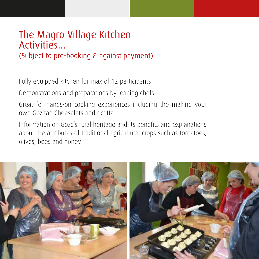#### The Magro Village Kitchen **Activities.**

(Subject to pre-booking & against payment)

Fully equipped kitchen for max of 12 participants

Demonstrations and preparations by leading chefs

Great for hands-on cooking experiences including the making your own Gozitan Cheeselets and ricotta

Information on Gozo's rural heritage and its benefits and explanations about the attributes of traditional agricultural crops such as tomatoes, olives, bees and honey.

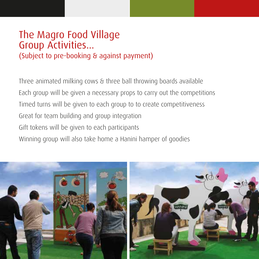#### The Magro Food Village Group Activities... (Subject to pre-booking & against payment)

Three animated milking cows & three ball throwing boards available Each group will be given a necessary props to carry out the competitions Timed turns will be given to each group to to create competitiveness Great for team building and group integration Gift tokens will be given to each participants Winning group will also take home a Hanini hamper of goodies

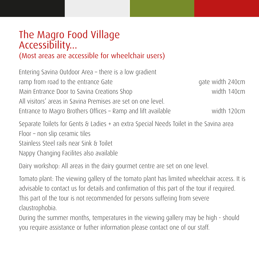### The Magro Food Village Accessibility...

#### (Most areas are accessible for wheelchair users)

| Entering Savina Outdoor Area - there is a low gradient       |                  |
|--------------------------------------------------------------|------------------|
| ramp from road to the entrance Gate                          | gate width 240cm |
| Main Entrance Door to Savina Creations Shop                  | width 140cm      |
| All visitors' areas in Savina Premises are set on one level. |                  |
| Entrance to Magro Brothers Offices - Ramp and lift available | width 120cm      |

Separate Toilets for Gents & Ladies + an extra Special Needs Toilet in the Savina area Floor – non slip ceramic tiles Stainless Steel rails near Sink & Toilet Nappy Changing Facilites also available

Dairy workshop: All areas in the dairy gourmet centre are set on one level.

Tomato plant: The viewing gallery of the tomato plant has limited wheelchair access. It is advisable to contact us for details and confirmation of this part of the tour if required. This part of the tour is not recommended for persons suffering from severe claustrophobia.

During the summer months, temperatures in the viewing gallery may be high - should you require assistance or futher information please contact one of our staff.